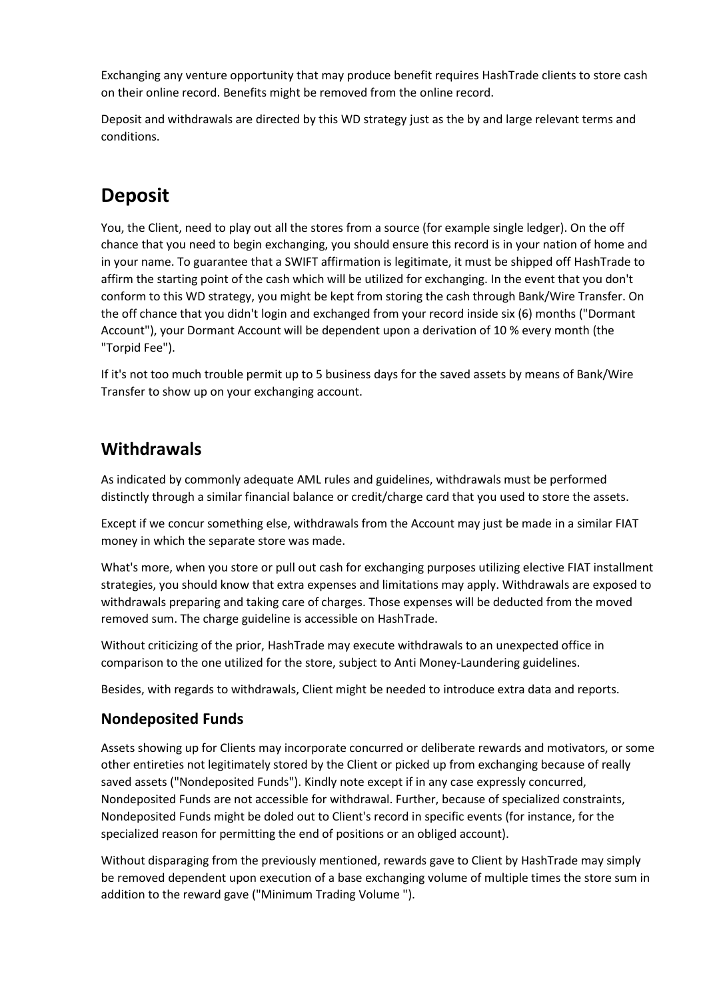Exchanging any venture opportunity that may produce benefit requires HashTrade clients to store cash on their online record. Benefits might be removed from the online record.

Deposit and withdrawals are directed by this WD strategy just as the by and large relevant terms and conditions.

# **Deposit**

You, the Client, need to play out all the stores from a source (for example single ledger). On the off chance that you need to begin exchanging, you should ensure this record is in your nation of home and in your name. To guarantee that a SWIFT affirmation is legitimate, it must be shipped off HashTrade to affirm the starting point of the cash which will be utilized for exchanging. In the event that you don't conform to this WD strategy, you might be kept from storing the cash through Bank/Wire Transfer. On the off chance that you didn't login and exchanged from your record inside six (6) months ("Dormant Account"), your Dormant Account will be dependent upon a derivation of 10 % every month (the "Torpid Fee").

If it's not too much trouble permit up to 5 business days for the saved assets by means of Bank/Wire Transfer to show up on your exchanging account.

### **Withdrawals**

As indicated by commonly adequate AML rules and guidelines, withdrawals must be performed distinctly through a similar financial balance or credit/charge card that you used to store the assets.

Except if we concur something else, withdrawals from the Account may just be made in a similar FIAT money in which the separate store was made.

What's more, when you store or pull out cash for exchanging purposes utilizing elective FIAT installment strategies, you should know that extra expenses and limitations may apply. Withdrawals are exposed to withdrawals preparing and taking care of charges. Those expenses will be deducted from the moved removed sum. The charge guideline is accessible on HashTrade.

Without criticizing of the prior, HashTrade may execute withdrawals to an unexpected office in comparison to the one utilized for the store, subject to Anti Money-Laundering guidelines.

Besides, with regards to withdrawals, Client might be needed to introduce extra data and reports.

### **Nondeposited Funds**

Assets showing up for Clients may incorporate concurred or deliberate rewards and motivators, or some other entireties not legitimately stored by the Client or picked up from exchanging because of really saved assets ("Nondeposited Funds"). Kindly note except if in any case expressly concurred, Nondeposited Funds are not accessible for withdrawal. Further, because of specialized constraints, Nondeposited Funds might be doled out to Client's record in specific events (for instance, for the specialized reason for permitting the end of positions or an obliged account).

Without disparaging from the previously mentioned, rewards gave to Client by HashTrade may simply be removed dependent upon execution of a base exchanging volume of multiple times the store sum in addition to the reward gave ("Minimum Trading Volume ").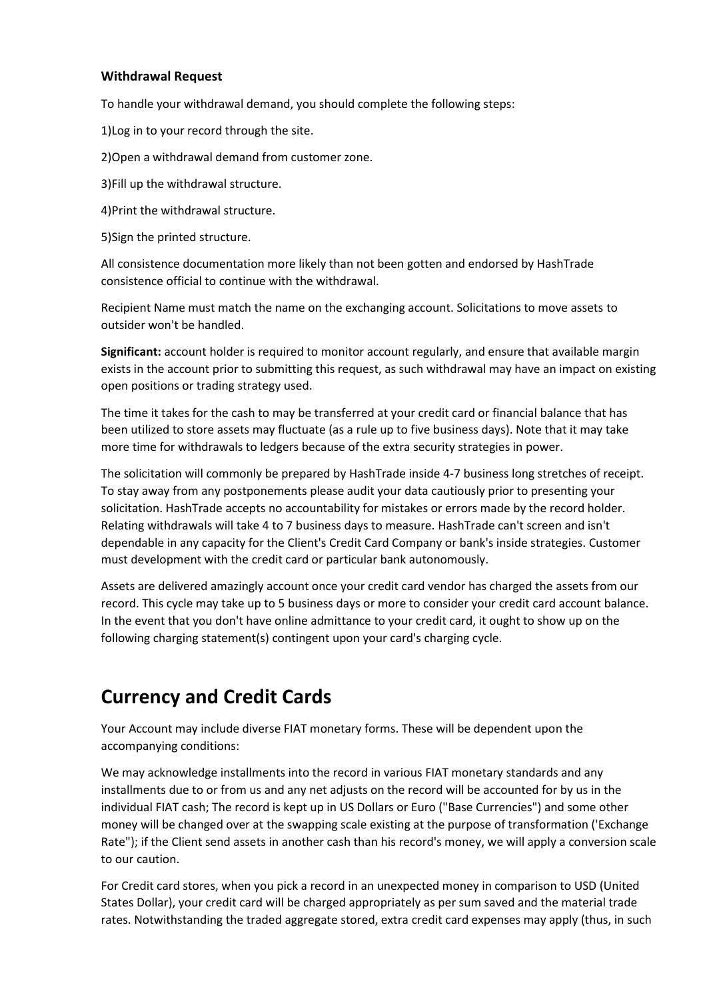#### **Withdrawal Request**

To handle your withdrawal demand, you should complete the following steps:

1)Log in to your record through the site.

2)Open a withdrawal demand from customer zone.

3)Fill up the withdrawal structure.

4)Print the withdrawal structure.

5)Sign the printed structure.

All consistence documentation more likely than not been gotten and endorsed by HashTrade consistence official to continue with the withdrawal.

Recipient Name must match the name on the exchanging account. Solicitations to move assets to outsider won't be handled.

**Significant:** account holder is required to monitor account regularly, and ensure that available margin exists in the account prior to submitting this request, as such withdrawal may have an impact on existing open positions or trading strategy used.

The time it takes for the cash to may be transferred at your credit card or financial balance that has been utilized to store assets may fluctuate (as a rule up to five business days). Note that it may take more time for withdrawals to ledgers because of the extra security strategies in power.

The solicitation will commonly be prepared by HashTrade inside 4-7 business long stretches of receipt. To stay away from any postponements please audit your data cautiously prior to presenting your solicitation. HashTrade accepts no accountability for mistakes or errors made by the record holder. Relating withdrawals will take 4 to 7 business days to measure. HashTrade can't screen and isn't dependable in any capacity for the Client's Credit Card Company or bank's inside strategies. Customer must development with the credit card or particular bank autonomously.

Assets are delivered amazingly account once your credit card vendor has charged the assets from our record. This cycle may take up to 5 business days or more to consider your credit card account balance. In the event that you don't have online admittance to your credit card, it ought to show up on the following charging statement(s) contingent upon your card's charging cycle.

## **Currency and Credit Cards**

Your Account may include diverse FIAT monetary forms. These will be dependent upon the accompanying conditions:

We may acknowledge installments into the record in various FIAT monetary standards and any installments due to or from us and any net adjusts on the record will be accounted for by us in the individual FIAT cash; The record is kept up in US Dollars or Euro ("Base Currencies") and some other money will be changed over at the swapping scale existing at the purpose of transformation ('Exchange Rate"); if the Client send assets in another cash than his record's money, we will apply a conversion scale to our caution.

For Credit card stores, when you pick a record in an unexpected money in comparison to USD (United States Dollar), your credit card will be charged appropriately as per sum saved and the material trade rates. Notwithstanding the traded aggregate stored, extra credit card expenses may apply (thus, in such